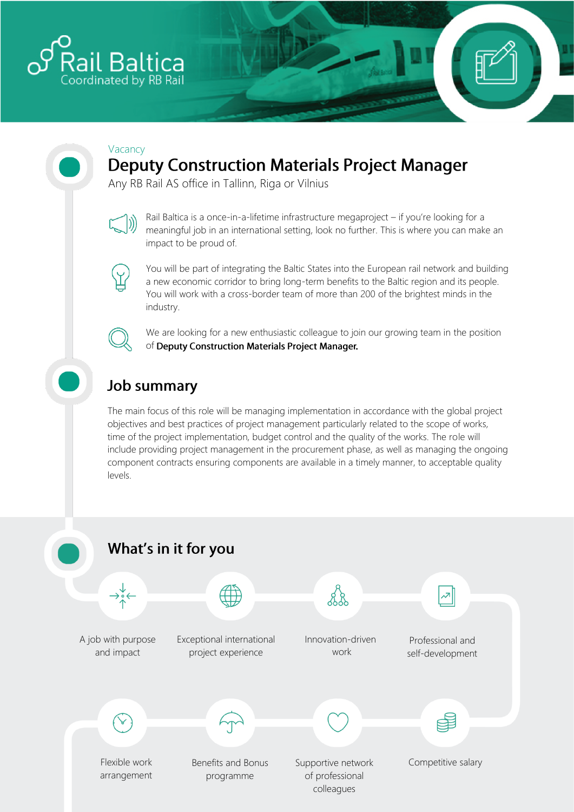

#### Vacancy

# **Deputy Construction Materials Project Manager**

Any RB Rail AS office in Tallinn, Riga or Vilnius



Rail Baltica is a once-in-a-lifetime infrastructure megaproject – if you're looking for a meaningful job in an international setting, look no further. This is where you can make an impact to be proud of.



You will be part of integrating the Baltic States into the European rail network and building a new economic corridor to bring long-term benefits to the Baltic region and its people. You will work with a cross-border team of more than 200 of the brightest minds in the industry.



We are looking for a new enthusiastic colleague to join our growing team in the position of Deputy Construction Materials Project Manager.

# **Job summary**

The main focus of this role will be managing implementation in accordance with the global project objectives and best practices of project management particularly related to the scope of works, time of the project implementation, budget control and the quality of the works. The role will include providing project management in the procurement phase, as well as managing the ongoing component contracts ensuring components are available in a timely manner, to acceptable quality levels.